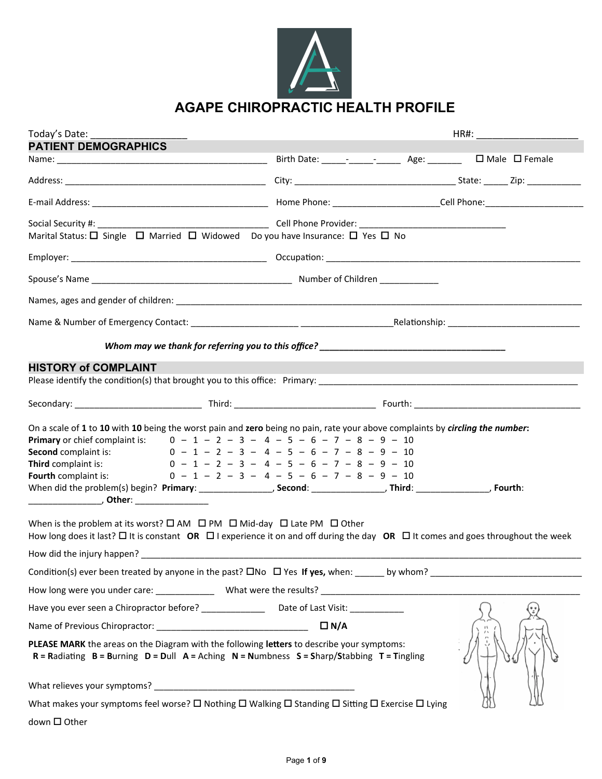

## **AGAPE CHIROPRACTIC HEALTH PROFILE**

| Today's Date:                                                                                                                                                                                                                                                                              |                                                                                                                                              |  |
|--------------------------------------------------------------------------------------------------------------------------------------------------------------------------------------------------------------------------------------------------------------------------------------------|----------------------------------------------------------------------------------------------------------------------------------------------|--|
| <b>PATIENT DEMOGRAPHICS</b>                                                                                                                                                                                                                                                                |                                                                                                                                              |  |
|                                                                                                                                                                                                                                                                                            | Birth Date: _____- _______________ Age: _________ □ Male □ Female                                                                            |  |
|                                                                                                                                                                                                                                                                                            |                                                                                                                                              |  |
|                                                                                                                                                                                                                                                                                            |                                                                                                                                              |  |
| Marital Status: $\Box$ Single $\Box$ Married $\Box$ Widowed Do you have Insurance: $\Box$ Yes $\Box$ No                                                                                                                                                                                    |                                                                                                                                              |  |
|                                                                                                                                                                                                                                                                                            |                                                                                                                                              |  |
|                                                                                                                                                                                                                                                                                            |                                                                                                                                              |  |
|                                                                                                                                                                                                                                                                                            |                                                                                                                                              |  |
|                                                                                                                                                                                                                                                                                            |                                                                                                                                              |  |
|                                                                                                                                                                                                                                                                                            |                                                                                                                                              |  |
| <b>HISTORY of COMPLAINT</b>                                                                                                                                                                                                                                                                |                                                                                                                                              |  |
|                                                                                                                                                                                                                                                                                            |                                                                                                                                              |  |
|                                                                                                                                                                                                                                                                                            |                                                                                                                                              |  |
| On a scale of 1 to 10 with 10 being the worst pain and zero being no pain, rate your above complaints by circling the number:<br><b>Primary</b> or chief complaint is: $0 - 1 - 2 - 3 - 4 - 5 - 6 - 7 - 8 - 9 - 10$<br>Second complaint is:<br>Third complaint is:<br>Fourth complaint is: | $0 - 1 - 2 - 3 - 4 - 5 - 6 - 7 - 8 - 9 - 10$<br>$0 - 1 - 2 - 3 - 4 - 5 - 6 - 7 - 8 - 9 - 10$<br>$0 - 1 - 2 - 3 - 4 - 5 - 6 - 7 - 8 - 9 - 10$ |  |
| When is the problem at its worst? $\square$ AM $\square$ PM $\square$ Mid-day $\square$ Late PM $\square$ Other<br>How long does it last? $\Box$ It is constant OR $\Box$ I experience it on and off during the day OR $\Box$ It comes and goes throughout the week                        |                                                                                                                                              |  |
|                                                                                                                                                                                                                                                                                            |                                                                                                                                              |  |
|                                                                                                                                                                                                                                                                                            |                                                                                                                                              |  |
|                                                                                                                                                                                                                                                                                            |                                                                                                                                              |  |
|                                                                                                                                                                                                                                                                                            |                                                                                                                                              |  |
|                                                                                                                                                                                                                                                                                            |                                                                                                                                              |  |
| PLEASE MARK the areas on the Diagram with the following letters to describe your symptoms:<br>$R =$ Radiating $B =$ Burning $D =$ Dull $A =$ Aching $N =$ Numbness $S =$ Sharp/Stabbing $T =$ Tingling                                                                                     |                                                                                                                                              |  |
|                                                                                                                                                                                                                                                                                            |                                                                                                                                              |  |
| What makes your symptoms feel worse? $\Box$ Nothing $\Box$ Walking $\Box$ Standing $\Box$ Sitting $\Box$ Exercise $\Box$ Lying                                                                                                                                                             |                                                                                                                                              |  |

 $down$   $\Box$  Other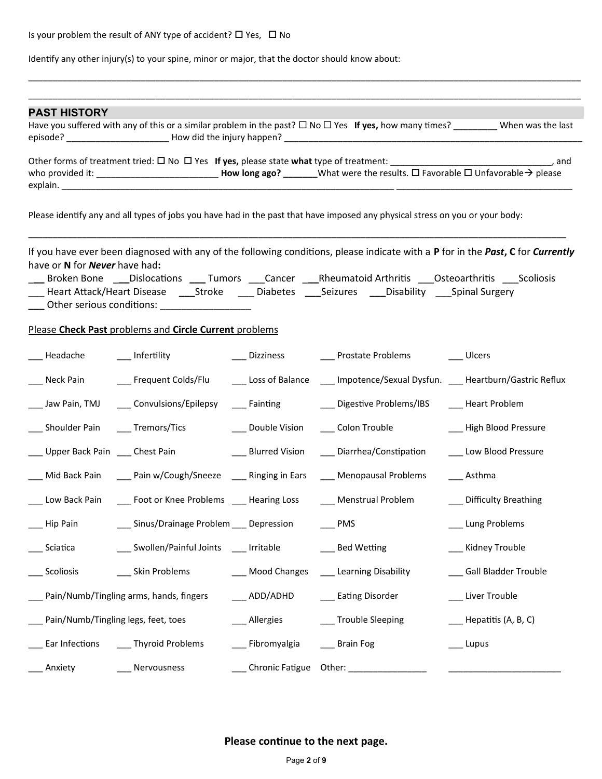Is your problem the result of ANY type of accident?  $\square$  Yes,  $\square$  No

Identify any other injury(s) to your spine, minor or major, that the doctor should know about:

| <b>PAST HISTORY</b>                 |                                                                                             |                        |                                                                                                                                                         |                                                                                                                                              |
|-------------------------------------|---------------------------------------------------------------------------------------------|------------------------|---------------------------------------------------------------------------------------------------------------------------------------------------------|----------------------------------------------------------------------------------------------------------------------------------------------|
|                                     |                                                                                             |                        |                                                                                                                                                         | Have you suffered with any of this or a similar problem in the past? $\Box$ No $\Box$ Yes If yes, how many times? ________ When was the last |
|                                     |                                                                                             |                        | who provided it: _________________________________How long ago? ________What were the results. $\Box$ Favorable $\Box$ Unfavorable $\rightarrow$ please | and the state of the state of the state of the state of the state of the state of the state of the state of th                               |
|                                     |                                                                                             |                        | Please identify any and all types of jobs you have had in the past that have imposed any physical stress on you or your body:                           |                                                                                                                                              |
| have or N for Never have had:       | ___ Other serious conditions: _________________                                             |                        | Broken Bone ___Dislocations ____ Tumors ____Cancer ____Rheumatoid Arthritis ____Osteoarthritis ____Scoliosis                                            | If you have ever been diagnosed with any of the following conditions, please indicate with a P for in the Past, C for Currently              |
|                                     | Please Check Past problems and Circle Current problems                                      |                        |                                                                                                                                                         |                                                                                                                                              |
| $\_$ Headache                       | $\rule{1em}{0.15mm}$ Infertility                                                            |                        | ___ Dizziness ____ Prostate Problems                                                                                                                    | __ Ulcers                                                                                                                                    |
| Neck Pain                           | ___ Frequent Colds/Flu                                                                      |                        | Loss of Balance _____ Impotence/Sexual Dysfun. ____ Heartburn/Gastric Reflux                                                                            |                                                                                                                                              |
| _ Jaw Pain, TMJ                     | ___ Convulsions/Epilepsy                                                                    | ____ Fainting          | ___ Digestive Problems/IBS                                                                                                                              | __ Heart Problem                                                                                                                             |
| ___ Shoulder Pain ____ Tremors/Tics |                                                                                             | ___ Double Vision      | ____ Colon Trouble                                                                                                                                      | __ High Blood Pressure                                                                                                                       |
|                                     | _Upper Back Pain ____ Chest Pain                                                            | ___ Blurred Vision     | ___ Diarrhea/Constipation                                                                                                                               | ___ Low Blood Pressure                                                                                                                       |
|                                     | Mid Back Pain ______ Pain w/Cough/Sneeze _______ Ringing in Ears ______ Menopausal Problems |                        |                                                                                                                                                         | ___ Asthma                                                                                                                                   |
|                                     |                                                                                             |                        | Low Back Pain ______ Foot or Knee Problems ______ Hearing Loss ________ Menstrual Problem                                                               | __ Difficulty Breathing                                                                                                                      |
| Hip Pain                            | __ Sinus/Drainage Problem __ Depression                                                     |                        | $\overline{\phantom{0}}$ PMS                                                                                                                            | _ Lung Problems                                                                                                                              |
| Sciatica                            | ___ Swollen/Painful Joints ____ Irritable                                                   |                        | __ Bed Wetting                                                                                                                                          | _ Kidney Trouble                                                                                                                             |
| Scoliosis                           | Skin Problems                                                                               | Mood Changes           | Learning Disability                                                                                                                                     | Gall Bladder Trouble                                                                                                                         |
|                                     | Pain/Numb/Tingling arms, hands, fingers                                                     | $\_\_$ ADD/ADHD        | __ Eating Disorder                                                                                                                                      | _ Liver Trouble                                                                                                                              |
|                                     | Pain/Numb/Tingling legs, feet, toes                                                         | Allergies              | __ Trouble Sleeping                                                                                                                                     | Hepatitis (A, B, C)                                                                                                                          |
|                                     | Ear Infections ______ Thyroid Problems                                                      | __ Fibromyalgia        | __ Brain Fog                                                                                                                                            | . Lupus                                                                                                                                      |
| Anxiety                             | Nervousness                                                                                 | Chronic Fatigue Other: |                                                                                                                                                         |                                                                                                                                              |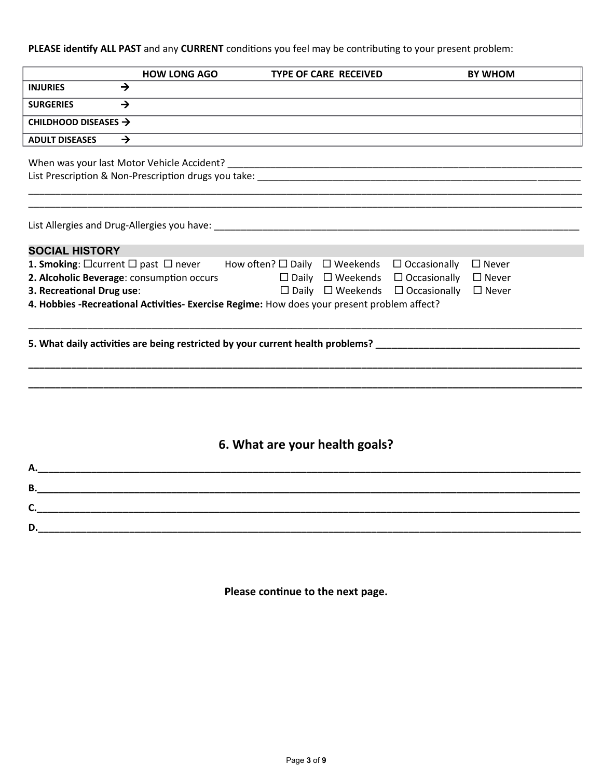### PLEASE identify ALL PAST and any CURRENT conditions you feel may be contributing to your present problem:

|                                                     | <b>HOW LONG AGO</b>                        | <b>TYPE OF CARE RECEIVED</b>                                                                | <b>BY WHOM</b>  |
|-----------------------------------------------------|--------------------------------------------|---------------------------------------------------------------------------------------------|-----------------|
| <b>INJURIES</b>                                     | $\rightarrow$                              |                                                                                             |                 |
| <b>SURGERIES</b>                                    | $\rightarrow$                              |                                                                                             |                 |
| CHILDHOOD DISEASES $\rightarrow$                    |                                            |                                                                                             |                 |
| <b>ADULT DISEASES</b>                               | $\rightarrow$                              |                                                                                             |                 |
|                                                     | When was your last Motor Vehicle Accident? |                                                                                             |                 |
|                                                     |                                            |                                                                                             |                 |
|                                                     |                                            |                                                                                             |                 |
|                                                     |                                            |                                                                                             |                 |
|                                                     |                                            |                                                                                             |                 |
| <b>SOCIAL HISTORY</b>                               |                                            |                                                                                             |                 |
| 1. Smoking: $\Box$ current $\Box$ past $\Box$ never |                                            | How often? $\square$ Daily $\square$ Weekends $\square$ Occasionally                        | $\Box$ Never    |
|                                                     | 2. Alcoholic Beverage: consumption occurs  | $\Box$ Daily $\Box$ Weekends $\Box$ Occasionally                                            | $\square$ Never |
| 3. Recreational Drug use:                           |                                            | $\Box$ Daily $\Box$ Weekends $\Box$ Occasionally                                            | $\square$ Never |
|                                                     |                                            | 4. Hobbies -Recreational Activities- Exercise Regime: How does your present problem affect? |                 |
|                                                     |                                            |                                                                                             |                 |
|                                                     |                                            |                                                                                             |                 |
|                                                     |                                            |                                                                                             |                 |
|                                                     |                                            |                                                                                             |                 |
|                                                     |                                            |                                                                                             |                 |
|                                                     |                                            |                                                                                             |                 |
|                                                     |                                            |                                                                                             |                 |
|                                                     |                                            |                                                                                             |                 |
|                                                     |                                            | 6. What are your health goals?                                                              |                 |
|                                                     |                                            |                                                                                             |                 |
|                                                     |                                            |                                                                                             |                 |
| C.                                                  |                                            |                                                                                             |                 |

Please continue to the next page.

**D.\_\_\_\_\_\_\_\_\_\_\_\_\_\_\_\_\_\_\_\_\_\_\_\_\_\_\_\_\_\_\_\_\_\_\_\_\_\_\_\_\_\_\_\_\_\_\_\_\_\_\_\_\_\_\_\_\_\_\_\_\_\_\_\_\_\_\_\_\_\_\_\_\_\_\_\_\_\_\_\_\_\_\_\_\_\_\_\_\_\_\_\_\_\_\_\_\_\_\_\_\_**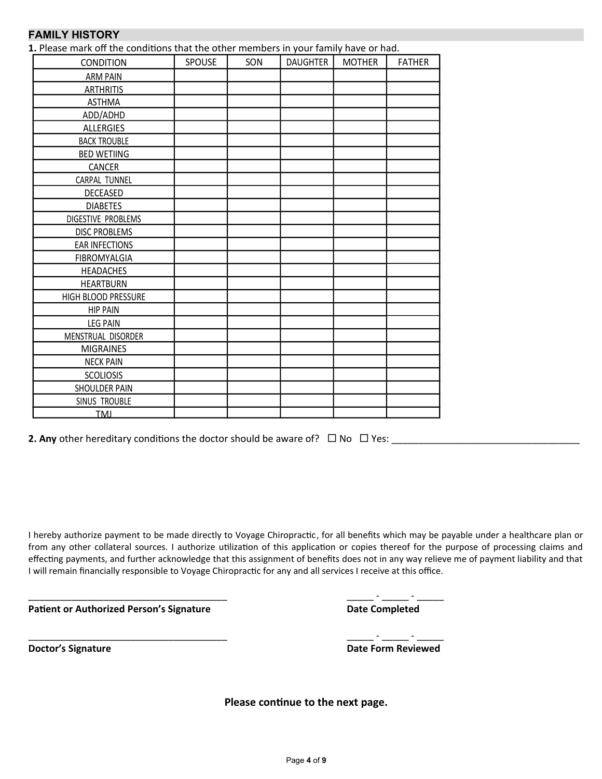### **FAMILY HISTORY**

1. Please mark off the conditions that the other members in your family have or had.

| <b>CONDITION</b>      | SPOUSE | SON | <b>DAUGHTER</b> | <b>MOTHER</b> | <b>FATHER</b> |
|-----------------------|--------|-----|-----------------|---------------|---------------|
| <b>ARM PAIN</b>       |        |     |                 |               |               |
| <b>ARTHRITIS</b>      |        |     |                 |               |               |
| <b>ASTHMA</b>         |        |     |                 |               |               |
| ADD/ADHD              |        |     |                 |               |               |
| <b>ALLERGIES</b>      |        |     |                 |               |               |
| <b>BACK TROUBLE</b>   |        |     |                 |               |               |
| <b>BED WETIING</b>    |        |     |                 |               |               |
| CANCER                |        |     |                 |               |               |
| CARPAL TUNNEL         |        |     |                 |               |               |
| DECEASED              |        |     |                 |               |               |
| <b>DIABETES</b>       |        |     |                 |               |               |
| DIGESTIVE PROBLEMS    |        |     |                 |               |               |
| <b>DISC PROBLEMS</b>  |        |     |                 |               |               |
| <b>EAR INFECTIONS</b> |        |     |                 |               |               |
| FIBROMYALGIA          |        |     |                 |               |               |
| <b>HEADACHES</b>      |        |     |                 |               |               |
| <b>HEARTBURN</b>      |        |     |                 |               |               |
| HIGH BLOOD PRESSURE   |        |     |                 |               |               |
| <b>HIP PAIN</b>       |        |     |                 |               |               |
| <b>LEG PAIN</b>       |        |     |                 |               |               |
| MENSTRUAL DISORDER    |        |     |                 |               |               |
| <b>MIGRAINES</b>      |        |     |                 |               |               |
| <b>NECK PAIN</b>      |        |     |                 |               |               |
| <b>SCOLIOSIS</b>      |        |     |                 |               |               |
| SHOULDER PAIN         |        |     |                 |               |               |
| SINUS TROUBLE         |        |     |                 |               |               |
| <b>TMI</b>            |        |     |                 |               |               |

**2. Any** other hereditary conditions the doctor should be aware of?  $\Box$  No  $\Box$  Yes:

\_\_\_\_\_\_\_\_\_\_\_\_\_\_\_\_\_\_\_\_\_\_\_\_\_\_\_\_\_\_\_\_\_\_\_\_\_ \_\_\_\_\_ - \_\_\_\_\_ - \_\_\_\_\_

I hereby authorize payment to be made directly to Voyage Chiropractic, for all benefits which may be payable under a healthcare plan or from any other collateral sources. I authorize utilization of this application or copies thereof for the purpose of processing claims and effecting payments, and further acknowledge that this assignment of benefits does not in any way relieve me of payment liability and that I will remain financially responsible to Voyage Chiropractic for any and all services I receive at this office.

**Patient or Authorized Person's Signature Date Completed** 

| Dotiont on Authorized Doncon's Cignature | Dota Completed |  |
|------------------------------------------|----------------|--|

**Doctor's Signature Date Form Reviewed**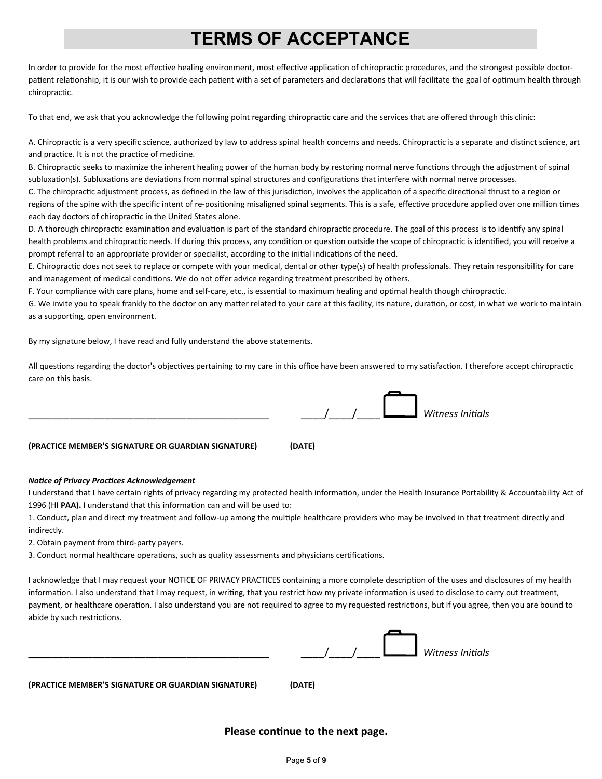## **TERMS OF ACCEPTANCE**

In order to provide for the most effective healing environment, most effective application of chiropractic procedures, and the strongest possible doctorpatient relationship, it is our wish to provide each patient with a set of parameters and declarations that will facilitate the goal of optimum health through chiropractic.

To that end, we ask that you acknowledge the following point regarding chiropractic care and the services that are offered through this clinic:

A. Chiropractic is a very specific science, authorized by law to address spinal health concerns and needs. Chiropractic is a separate and distinct science, art and practice. It is not the practice of medicine.

B. Chiropractic seeks to maximize the inherent healing power of the human body by restoring normal nerve functions through the adjustment of spinal subluxation(s). Subluxations are deviations from normal spinal structures and configurations that interfere with normal nerve processes.

C. The chiropractic adjustment process, as defined in the law of this jurisdiction, involves the application of a specific directional thrust to a region or regions of the spine with the specific intent of re-positioning misaligned spinal segments. This is a safe, effective procedure applied over one million times each day doctors of chiropractic in the United States alone.

D. A thorough chiropractic examination and evaluation is part of the standard chiropractic procedure. The goal of this process is to identify any spinal health problems and chiropractic needs. If during this process, any condition or question outside the scope of chiropractic is identified, you will receive a prompt referral to an appropriate provider or specialist, according to the initial indications of the need.

E. Chiropractic does not seek to replace or compete with your medical, dental or other type(s) of health professionals. They retain responsibility for care and management of medical conditions. We do not offer advice regarding treatment prescribed by others.

F. Your compliance with care plans, home and self-care, etc., is essental to maximum healing and optmal health though chiropractc.

G. We invite you to speak frankly to the doctor on any matter related to your care at this facility, its nature, duration, or cost, in what we work to maintain as a supporting, open environment.

By my signature below, I have read and fully understand the above statements.

All questions regarding the doctor's objectives pertaining to my care in this office have been answered to my satisfaction. I therefore accept chiropractic care on this basis.



#### **Notice of Privacy Practices Acknowledgement**

I understand that I have certain rights of privacy regarding my protected health information, under the Health Insurance Portability & Accountability Act of 1996 (HI **PAA).** I understand that this informaton can and will be used to:

1. Conduct, plan and direct my treatment and follow-up among the multple healthcare providers who may be involved in that treatment directly and indirectly.

2. Obtain payment from third-party payers.

3. Conduct normal healthcare operations, such as quality assessments and physicians certifications.

I acknowledge that I may request your NOTICE OF PRIVACY PRACTICES containing a more complete descripton of the uses and disclosures of my health information. I also understand that I may request, in writing, that you restrict how my private information is used to disclose to carry out treatment, payment, or healthcare operation. I also understand you are not required to agree to my requested restrictions, but if you agree, then you are bound to abide by such restrictions.

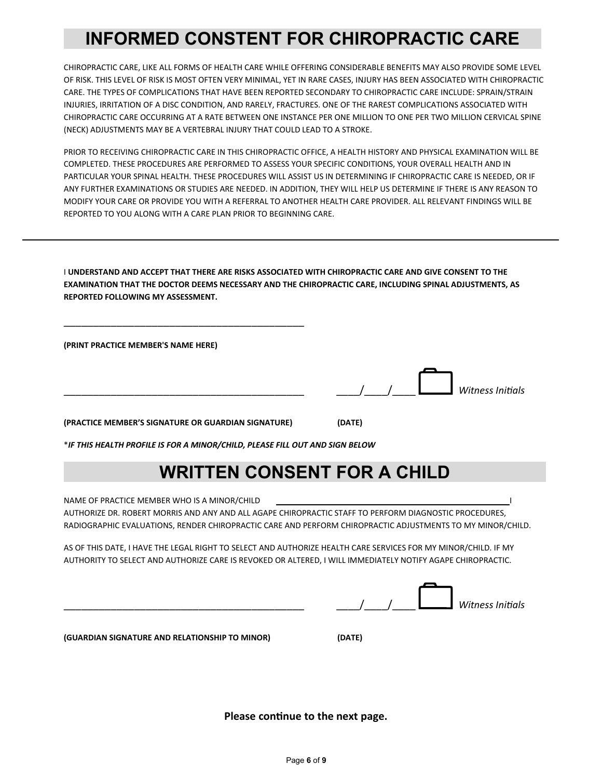## **INFORMED CONSTENT FOR CHIROPRACTIC CARE**

CHIROPRACTIC CARE, LIKE ALL FORMS OF HEALTH CARE WHILE OFFERING CONSIDERABLE BENEFITS MAY ALSO PROVIDE SOME LEVEL OF RISK. THIS LEVEL OF RISK IS MOST OFTEN VERY MINIMAL, YET IN RARE CASES, INJURY HAS BEEN ASSOCIATED WITH CHIROPRACTIC CARE. THE TYPES OF COMPLICATIONS THAT HAVE BEEN REPORTED SECONDARY TO CHIROPRACTIC CARE INCLUDE: SPRAIN/STRAIN INJURIES, IRRITATION OF A DISC CONDITION, AND RARELY, FRACTURES. ONE OF THE RAREST COMPLICATIONS ASSOCIATED WITH CHIROPRACTIC CARE OCCURRING AT A RATE BETWEEN ONE INSTANCE PER ONE MILLION TO ONE PER TWO MILLION CERVICAL SPINE (NECK) ADJUSTMENTS MAY BE A VERTEBRAL INJURY THAT COULD LEAD TO A STROKE.

PRIOR TO RECEIVING CHIROPRACTIC CARE IN THIS CHIROPRACTIC OFFICE, A HEALTH HISTORY AND PHYSICAL EXAMINATION WILL BE COMPLETED. THESE PROCEDURES ARE PERFORMED TO ASSESS YOUR SPECIFIC CONDITIONS, YOUR OVERALL HEALTH AND IN PARTICULAR YOUR SPINAL HEALTH. THESE PROCEDURES WILL ASSIST US IN DETERMINING IF CHIROPRACTIC CARE IS NEEDED, OR IF ANY FURTHER EXAMINATIONS OR STUDIES ARE NEEDED. IN ADDITION, THEY WILL HELP US DETERMINE IF THERE IS ANY REASON TO MODIFY YOUR CARE OR PROVIDE YOU WITH A REFERRAL TO ANOTHER HEALTH CARE PROVIDER. ALL RELEVANT FINDINGS WILL BE REPORTED TO YOU ALONG WITH A CARE PLAN PRIOR TO BEGINNING CARE.

I **UNDERSTAND AND ACCEPT THAT THERE ARE RISKS ASSOCIATED WITH CHIROPRACTIC CARE AND GIVE CONSENT TO THE EXAMINATION THAT THE DOCTOR DEEMS NECESSARY AND THE CHIROPRACTIC CARE, INCLUDING SPINAL ADJUSTMENTS, AS REPORTED FOLLOWING MY ASSESSMENT.**

**(PRINT PRACTICE MEMBER'S NAME HERE)**

\_\_\_\_\_\_\_\_\_\_\_\_\_\_\_\_\_\_\_\_\_\_\_\_\_\_\_\_\_\_\_\_\_\_\_\_\_\_\_\_\_ \_\_\_\_/\_\_\_\_/\_\_\_\_*Witness Initias*

**(PRACTICE MEMBER'S SIGNATURE OR GUARDIAN SIGNATURE) (DATE)** 

\_\_\_\_\_\_\_\_\_\_\_\_\_\_\_\_\_\_\_\_\_\_\_\_\_\_\_\_\_\_\_\_\_\_\_\_\_\_\_\_\_

\**IF THIS HEALTH PROFILE IS FOR A MINOR/CHILD, PLEASE FILL OUT AND SIGN BELOW*

## **WRITTEN CONSENT FOR A CHILD**

NAME OF PRACTICE MEMBER WHO IS A MINOR/CHILD AUTHORIZE DR. ROBERT MORRIS AND ANY AND ALL AGAPE CHIROPRACTIC STAFF TO PERFORM DIAGNOSTIC PROCEDURES, RADIOGRAPHIC EVALUATIONS, RENDER CHIROPRACTIC CARE AND PERFORM CHIROPRACTIC ADJUSTMENTS TO MY MINOR/CHILD.

AS OF THIS DATE, I HAVE THE LEGAL RIGHT TO SELECT AND AUTHORIZE HEALTH CARE SERVICES FOR MY MINOR/CHILD. IF MY AUTHORITY TO SELECT AND AUTHORIZE CARE IS REVOKED OR ALTERED, I WILL IMMEDIATELY NOTIFY AGAPE CHIROPRACTIC.

|  | Witness Initials |
|--|------------------|

**(GUARDIAN SIGNATURE AND RELATIONSHIP TO MINOR) (DATE)**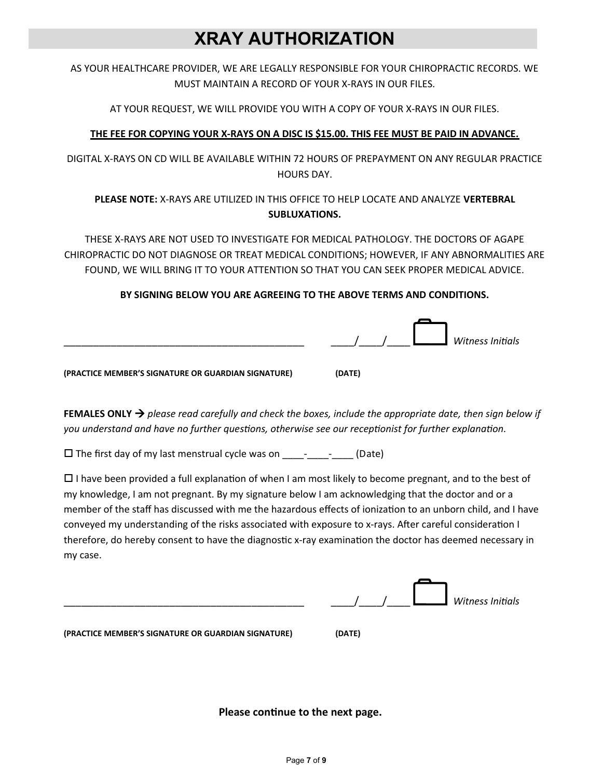## **XRAY AUTHORIZATION**

AS YOUR HEALTHCARE PROVIDER, WE ARE LEGALLY RESPONSIBLE FOR YOUR CHIROPRACTIC RECORDS. WE MUST MAINTAIN A RECORD OF YOUR X-RAYS IN OUR FILES.

AT YOUR REQUEST, WE WILL PROVIDE YOU WITH A COPY OF YOUR X-RAYS IN OUR FILES.

### **THE FEE FOR COPYING YOUR X-RAYS ON A DISC IS \$15.00. THIS FEE MUST BE PAID IN ADVANCE.**

DIGITAL X-RAYS ON CD WILL BE AVAILABLE WITHIN 72 HOURS OF PREPAYMENT ON ANY REGULAR PRACTICE HOURS DAY.

### **PLEASE NOTE:** X-RAYS ARE UTILIZED IN THIS OFFICE TO HELP LOCATE AND ANALYZE **VERTEBRAL SUBLUXATIONS.**

THESE X-RAYS ARE NOT USED TO INVESTIGATE FOR MEDICAL PATHOLOGY. THE DOCTORS OF AGAPE CHIROPRACTIC DO NOT DIAGNOSE OR TREAT MEDICAL CONDITIONS; HOWEVER, IF ANY ABNORMALITIES ARE FOUND, WE WILL BRING IT TO YOUR ATTENTION SO THAT YOU CAN SEEK PROPER MEDICAL ADVICE.

### **BY SIGNING BELOW YOU ARE AGREEING TO THE ABOVE TERMS AND CONDITIONS.**



**FEMALES ONLY**  $\rightarrow$  please read carefully and check the boxes, include the appropriate date, then sign below if you understand and have no further questions, otherwise see our receptionist for further explanation.

 $\square$  The first day of my last menstrual cycle was on \_\_\_\_\_\_\_\_\_\_\_\_\_\_\_\_(Date)

 $\Box$  I have been provided a full explanation of when I am most likely to become pregnant, and to the best of my knowledge, I am not pregnant. By my signature below I am acknowledging that the doctor and or a member of the staff has discussed with me the hazardous effects of ionization to an unborn child, and I have conveyed my understanding of the risks associated with exposure to x-rays. Afer careful consideraton I therefore, do hereby consent to have the diagnostic x-ray examination the doctor has deemed necessary in my case.

|  | Witness Initials |
|--|------------------|
|  |                  |

**(PRACTICE MEMBER'S SIGNATURE OR GUARDIAN SIGNATURE) (DATE)**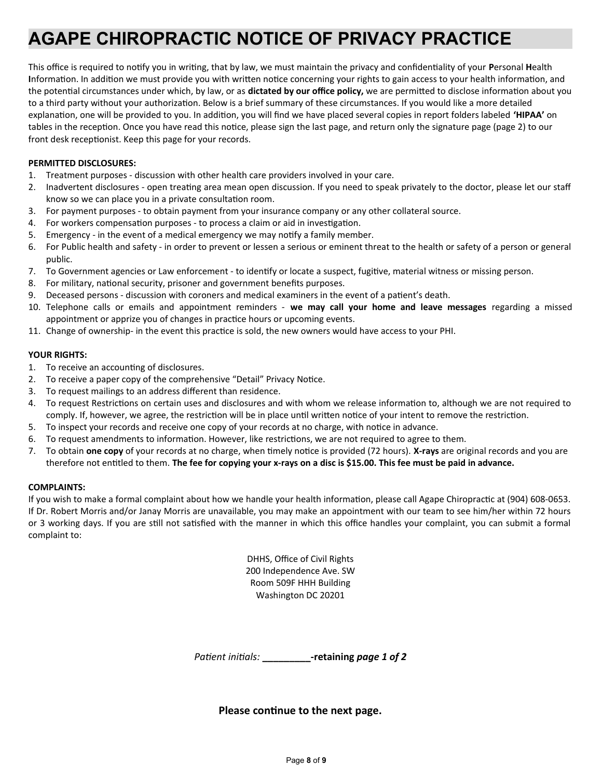# **AGAPE CHIROPRACTIC NOTICE OF PRIVACY PRACTICE**

This office is required to notify you in writing, that by law, we must maintain the privacy and confidentiality of your **Personal Health** Information. In addition we must provide you with written notice concerning your rights to gain access to your health information, and the potential circumstances under which, by law, or as **dictated by our office policy,** we are permitted to disclose information about you to a third party without your authorization. Below is a brief summary of these circumstances. If you would like a more detailed explanation, one will be provided to you. In addition, you will find we have placed several copies in report folders labeled 'HIPAA' on tables in the reception. Once you have read this notice, please sign the last page, and return only the signature page (page 2) to our front desk receptionist. Keep this page for your records.

#### **PERMITTED DISCLOSURES:**

- 1. Treatment purposes discussion with other health care providers involved in your care.
- 2. Inadvertent disclosures open treating area mean open discussion. If you need to speak privately to the doctor, please let our staff know so we can place you in a private consultation room.
- 3. For payment purposes to obtain payment from your insurance company or any other collateral source.
- 4. For workers compensaton purposes to process a claim or aid in investgaton.
- 5. Emergency in the event of a medical emergency we may notfy a family member.
- 6. For Public health and safety in order to prevent or lessen a serious or eminent threat to the health or safety of a person or general public.
- 7. To Government agencies or Law enforcement to identfy or locate a suspect, fugitve, material witness or missing person.
- 8. For military, national security, prisoner and government benefits purposes.
- 9. Deceased persons discussion with coroners and medical examiners in the event of a patent's death.
- 10. Telephone calls or emails and appointment reminders **we may call your home and leave messages** regarding a missed appointment or apprize you of changes in practice hours or upcoming events.
- 11. Change of ownership- in the event this practce is sold, the new owners would have access to your PHI.

#### **YOUR RIGHTS:**

- 1. To receive an accounting of disclosures.
- 2. To receive a paper copy of the comprehensive "Detail" Privacy Notice.
- 3. To request mailings to an address diferent than residence.
- 4. To request Restrictions on certain uses and disclosures and with whom we release information to, although we are not required to comply. If, however, we agree, the restriction will be in place until written notice of your intent to remove the restriction.
- 5. To inspect your records and receive one copy of your records at no charge, with notice in advance.
- 6. To request amendments to informaton. However, like restrictons, we are not required to agree to them.
- 7. To obtain **one copy** of your records at no charge, when timely notice is provided (72 hours). **X-rays** are original records and you are therefore not enttled to them. **The fee for copying your x-rays on a disc is \$15.00. This fee must be paid in advance.**

#### **COMPLAINTS:**

If you wish to make a formal complaint about how we handle your health information, please call Agape Chiropractic at (904) 608-0653. If Dr. Robert Morris and/or Janay Morris are unavailable, you may make an appointment with our team to see him/her within 72 hours or 3 working days. If you are still not satisfied with the manner in which this office handles your complaint, you can submit a formal complaint to:

> DHHS, Office of Civil Rights 200 Independence Ave. SW Room 509F HHH Building Washington DC 20201

*Patient initials:* **\_\_\_\_\_\_\_\_\_\_\_\_-retaining page 1 of 2**